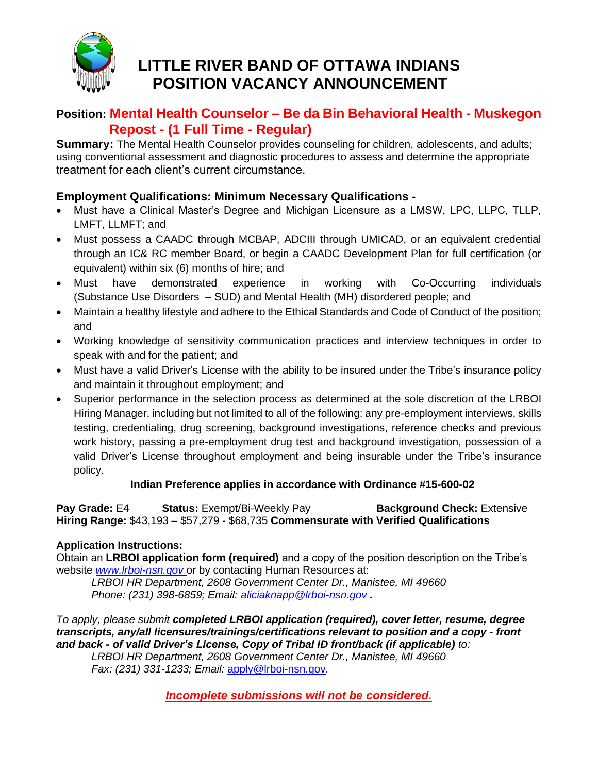

# **LITTLE RIVER BAND OF OTTAWA INDIANS POSITION VACANCY ANNOUNCEMENT**

## **Position: Mental Health Counselor – Be da Bin Behavioral Health - Muskegon Repost - (1 Full Time - Regular)**

**Summary:** The Mental Health Counselor provides counseling for children, adolescents, and adults; using conventional assessment and diagnostic procedures to assess and determine the appropriate treatment for each client's current circumstance.

### **Employment Qualifications: Minimum Necessary Qualifications -**

- Must have a Clinical Master's Degree and Michigan Licensure as a LMSW, LPC, LLPC, TLLP, LMFT, LLMFT; and
- Must possess a CAADC through MCBAP, ADCIII through UMICAD, or an equivalent credential through an IC& RC member Board, or begin a CAADC Development Plan for full certification (or equivalent) within six (6) months of hire; and
- Must have demonstrated experience in working with Co-Occurring individuals (Substance Use Disorders – SUD) and Mental Health (MH) disordered people; and
- Maintain a healthy lifestyle and adhere to the Ethical Standards and Code of Conduct of the position; and
- Working knowledge of sensitivity communication practices and interview techniques in order to speak with and for the patient; and
- Must have a valid Driver's License with the ability to be insured under the Tribe's insurance policy and maintain it throughout employment; and
- Superior performance in the selection process as determined at the sole discretion of the LRBOI Hiring Manager, including but not limited to all of the following: any pre-employment interviews, skills testing, credentialing, drug screening, background investigations, reference checks and previous work history, passing a pre-employment drug test and background investigation, possession of a valid Driver's License throughout employment and being insurable under the Tribe's insurance policy.

#### **Indian Preference applies in accordance with Ordinance #15-600-02**

**Pay Grade: E4 Status: Exempt/Bi-Weekly Pay <b>Background Check: Extensive Hiring Range:** \$43,193 – \$57,279 - \$68,735 **Commensurate with Verified Qualifications**

### **Application Instructions:**

Obtain an **LRBOI application form (required)** and a copy of the position description on the Tribe's website *[www.lrboi-nsn.gov](http://www.lrboi-nsn.gov/)* or by contacting Human Resources at:

*LRBOI HR Department, 2608 Government Center Dr., Manistee, MI 49660 Phone: (231) 398-6859; Email: [aliciaknapp@lrboi-nsn.gov](mailto:aliciaknapp@lrboi-nsn.gov) .* 

*To apply, please submit completed LRBOI application (required), cover letter, resume, degree transcripts, any/all licensures/trainings/certifications relevant to position and a copy - front and back - of valid Driver's License, Copy of Tribal ID front/back (if applicable) to:*

*LRBOI HR Department, 2608 Government Center Dr., Manistee, MI 49660 Fax: (231) 331-1233; Email:* apply@lrboi-nsn.gov*.*

*Incomplete submissions will not be considered.*